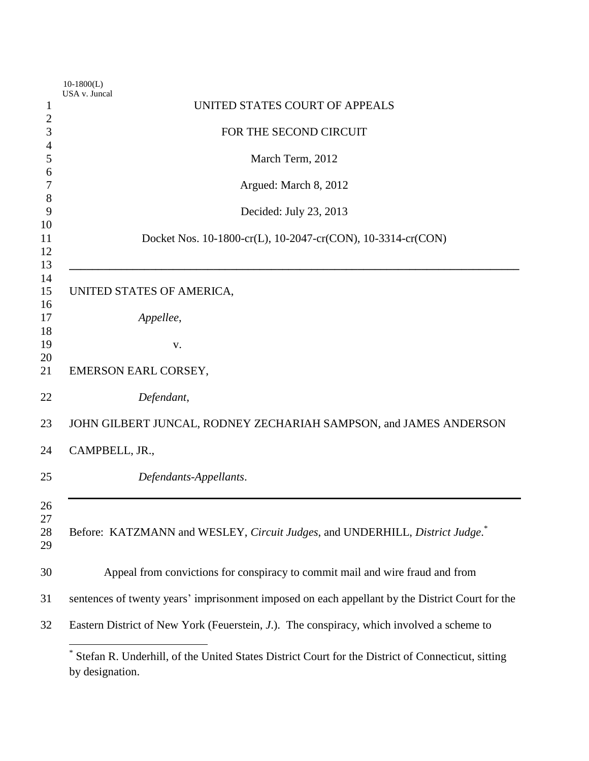|                      | $10-1800(L)$                                                                                      |
|----------------------|---------------------------------------------------------------------------------------------------|
| 1                    | USA v. Juncal<br>UNITED STATES COURT OF APPEALS                                                   |
| $\overline{2}$       |                                                                                                   |
| 3                    | FOR THE SECOND CIRCUIT                                                                            |
| 4<br>5               | March Term, 2012                                                                                  |
| 6<br>7               | Argued: March 8, 2012                                                                             |
| 8<br>9               | Decided: July 23, 2013                                                                            |
| 10<br>11<br>12<br>13 | Docket Nos. 10-1800-cr(L), 10-2047-cr(CON), 10-3314-cr(CON)                                       |
| 14<br>15<br>16       | UNITED STATES OF AMERICA,                                                                         |
| 17<br>18             | Appellee,                                                                                         |
| 19                   | V.                                                                                                |
| 20<br>21             | EMERSON EARL CORSEY,                                                                              |
| 22                   | Defendant,                                                                                        |
| 23                   | JOHN GILBERT JUNCAL, RODNEY ZECHARIAH SAMPSON, and JAMES ANDERSON                                 |
| 24                   | CAMPBELL, JR.,                                                                                    |
| 25                   | Defendants-Appellants.                                                                            |
| 26<br>27<br>28<br>29 | Before: KATZMANN and WESLEY, Circuit Judges, and UNDERHILL, District Judge."                      |
| 30                   | Appeal from convictions for conspiracy to commit mail and wire fraud and from                     |
| 31                   | sentences of twenty years' imprisonment imposed on each appellant by the District Court for the   |
| 32                   | Eastern District of New York (Feuerstein, J.). The conspiracy, which involved a scheme to         |
|                      | Stefan R. Underhill, of the United States District Court for the District of Connecticut, sitting |

-

by designation.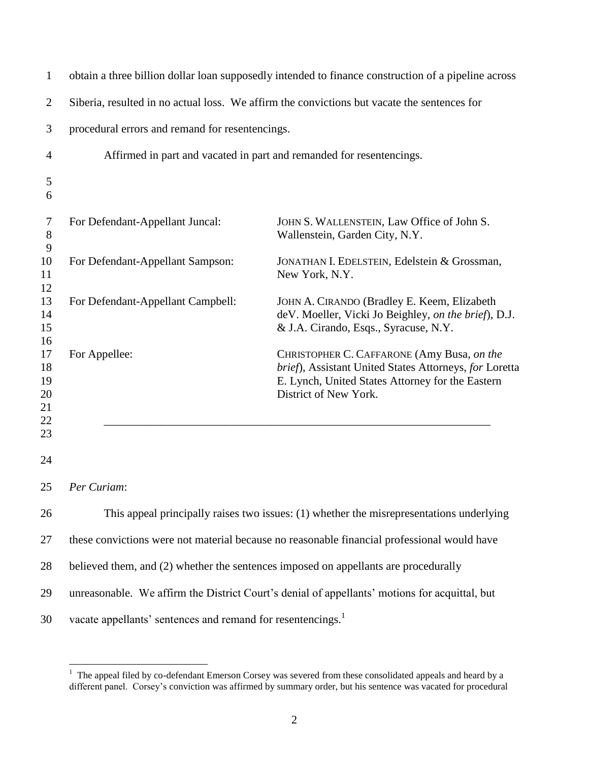|                                                                         | obtain a three billion dollar loan supposedly intended to finance construction of a pipeline across                                                                               |
|-------------------------------------------------------------------------|-----------------------------------------------------------------------------------------------------------------------------------------------------------------------------------|
|                                                                         | Siberia, resulted in no actual loss. We affirm the convictions but vacate the sentences for                                                                                       |
| procedural errors and remand for resentencings.                         |                                                                                                                                                                                   |
|                                                                         | Affirmed in part and vacated in part and remanded for resentencings.                                                                                                              |
|                                                                         |                                                                                                                                                                                   |
| For Defendant-Appellant Juncal:                                         | JOHN S. WALLENSTEIN, Law Office of John S.<br>Wallenstein, Garden City, N.Y.                                                                                                      |
| For Defendant-Appellant Sampson:                                        | JONATHAN I. EDELSTEIN, Edelstein & Grossman,<br>New York, N.Y.                                                                                                                    |
| For Defendant-Appellant Campbell:                                       | JOHN A. CIRANDO (Bradley E. Keem, Elizabeth<br>deV. Moeller, Vicki Jo Beighley, on the brief), D.J.<br>& J.A. Cirando, Esqs., Syracuse, N.Y.                                      |
| For Appellee:                                                           | CHRISTOPHER C. CAFFARONE (Amy Busa, on the<br>brief), Assistant United States Attorneys, for Loretta<br>E. Lynch, United States Attorney for the Eastern<br>District of New York. |
|                                                                         |                                                                                                                                                                                   |
| Per Curiam:                                                             |                                                                                                                                                                                   |
|                                                                         | This appeal principally raises two issues: (1) whether the misrepresentations underlying                                                                                          |
|                                                                         | these convictions were not material because no reasonable financial professional would have                                                                                       |
|                                                                         | believed them, and (2) whether the sentences imposed on appellants are procedurally                                                                                               |
|                                                                         | unreasonable. We affirm the District Court's denial of appellants' motions for acquittal, but                                                                                     |
| vacate appellants' sentences and remand for resentencings. <sup>1</sup> |                                                                                                                                                                                   |
|                                                                         |                                                                                                                                                                                   |

<sup>&</sup>lt;sup>1</sup> The appeal filed by co-defendant Emerson Corsey was severed from these consolidated appeals and heard by a different panel. Corsey's conviction was affirmed by summary order, but his sentence was vacated for procedural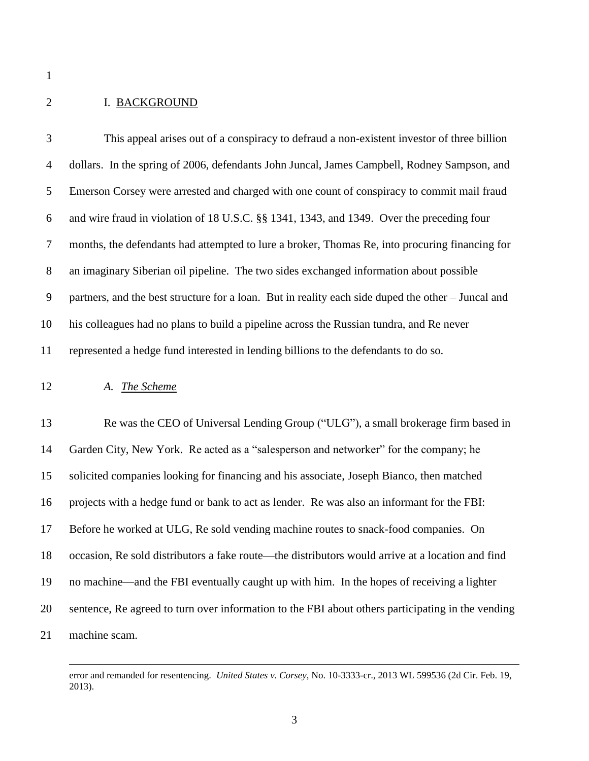$\overline{a}$ 

# I. BACKGROUND

| 3            | This appeal arises out of a conspiracy to defraud a non-existent investor of three billion         |
|--------------|----------------------------------------------------------------------------------------------------|
| 4            | dollars. In the spring of 2006, defendants John Juncal, James Campbell, Rodney Sampson, and        |
| 5            | Emerson Corsey were arrested and charged with one count of conspiracy to commit mail fraud         |
| 6            | and wire fraud in violation of 18 U.S.C. §§ 1341, 1343, and 1349. Over the preceding four          |
| 7            | months, the defendants had attempted to lure a broker, Thomas Re, into procuring financing for     |
| $8\,$        | an imaginary Siberian oil pipeline. The two sides exchanged information about possible             |
| $\mathbf{9}$ | partners, and the best structure for a loan. But in reality each side duped the other – Juncal and |
| 10           | his colleagues had no plans to build a pipeline across the Russian tundra, and Re never            |
| 11           | represented a hedge fund interested in lending billions to the defendants to do so.                |
| 12           | A. The Scheme                                                                                      |
| 13           | Re was the CEO of Universal Lending Group ("ULG"), a small brokerage firm based in                 |
| 14           | Garden City, New York. Re acted as a "salesperson and networker" for the company; he               |
| 15           | solicited companies looking for financing and his associate, Joseph Bianco, then matched           |
| 16           | projects with a hedge fund or bank to act as lender. Re was also an informant for the FBI:         |
| 17           | Before he worked at ULG, Re sold vending machine routes to snack-food companies. On                |
| 18           | occasion, Re sold distributors a fake route—the distributors would arrive at a location and find   |
| 19           | no machine—and the FBI eventually caught up with him. In the hopes of receiving a lighter          |
| 20           | sentence, Re agreed to turn over information to the FBI about others participating in the vending  |
| 21           | machine scam.                                                                                      |

error and remanded for resentencing. *United States v. Corsey*, No. 10-3333-cr., 2013 WL 599536 (2d Cir. Feb. 19, 2013).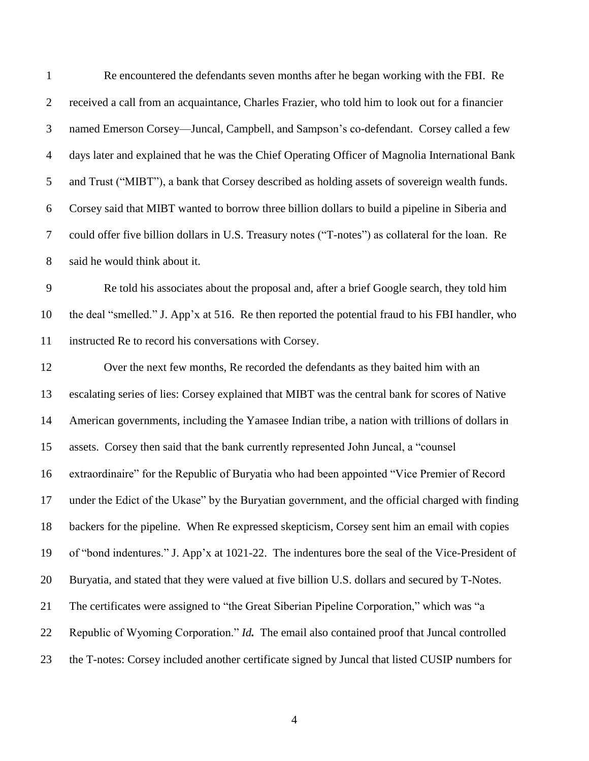| $\mathbf{1}$   | Re encountered the defendants seven months after he began working with the FBI. Re                 |
|----------------|----------------------------------------------------------------------------------------------------|
| $\overline{2}$ | received a call from an acquaintance, Charles Frazier, who told him to look out for a financier    |
| 3              | named Emerson Corsey—Juncal, Campbell, and Sampson's co-defendant. Corsey called a few             |
| $\overline{4}$ | days later and explained that he was the Chief Operating Officer of Magnolia International Bank    |
| 5              | and Trust ("MIBT"), a bank that Corsey described as holding assets of sovereign wealth funds.      |
| 6              | Corsey said that MIBT wanted to borrow three billion dollars to build a pipeline in Siberia and    |
| $\tau$         | could offer five billion dollars in U.S. Treasury notes ("T-notes") as collateral for the loan. Re |
| $8\,$          | said he would think about it.                                                                      |
| 9              | Re told his associates about the proposal and, after a brief Google search, they told him          |
| 10             | the deal "smelled." J. App'x at 516. Re then reported the potential fraud to his FBI handler, who  |
| 11             | instructed Re to record his conversations with Corsey.                                             |
| 12             | Over the next few months, Re recorded the defendants as they baited him with an                    |
| 13             | escalating series of lies: Corsey explained that MIBT was the central bank for scores of Native    |
| 14             | American governments, including the Yamasee Indian tribe, a nation with trillions of dollars in    |
| 15             | assets. Corsey then said that the bank currently represented John Juncal, a "counsel               |
| 16             | extraordinaire" for the Republic of Buryatia who had been appointed "Vice Premier of Record        |
| 17             | under the Edict of the Ukase" by the Buryatian government, and the official charged with finding   |
| 18             | backers for the pipeline. When Re expressed skepticism, Corsey sent him an email with copies       |
| 19             | of "bond indentures." J. App'x at 1021-22. The indentures bore the seal of the Vice-President of   |
| 20             | Buryatia, and stated that they were valued at five billion U.S. dollars and secured by T-Notes.    |
| 21             | The certificates were assigned to "the Great Siberian Pipeline Corporation," which was "a          |
| 22             | Republic of Wyoming Corporation." Id. The email also contained proof that Juncal controlled        |
| 23             | the T-notes: Corsey included another certificate signed by Juncal that listed CUSIP numbers for    |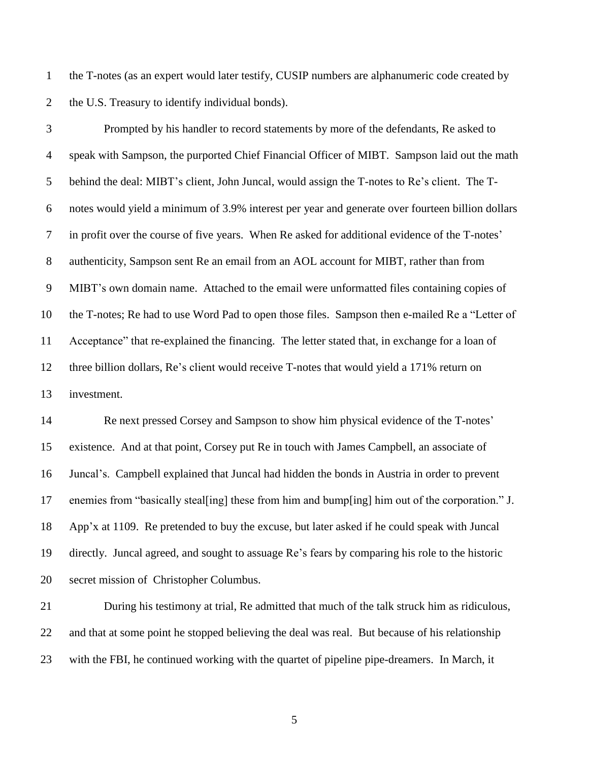the T-notes (as an expert would later testify, CUSIP numbers are alphanumeric code created by the U.S. Treasury to identify individual bonds).

 Prompted by his handler to record statements by more of the defendants, Re asked to speak with Sampson, the purported Chief Financial Officer of MIBT. Sampson laid out the math behind the deal: MIBT's client, John Juncal, would assign the T-notes to Re's client. The T- notes would yield a minimum of 3.9% interest per year and generate over fourteen billion dollars in profit over the course of five years. When Re asked for additional evidence of the T-notes' authenticity, Sampson sent Re an email from an AOL account for MIBT, rather than from MIBT's own domain name. Attached to the email were unformatted files containing copies of the T-notes; Re had to use Word Pad to open those files. Sampson then e-mailed Re a "Letter of Acceptance" that re-explained the financing. The letter stated that, in exchange for a loan of three billion dollars, Re's client would receive T-notes that would yield a 171% return on investment.

 Re next pressed Corsey and Sampson to show him physical evidence of the T-notes' existence. And at that point, Corsey put Re in touch with James Campbell, an associate of Juncal's. Campbell explained that Juncal had hidden the bonds in Austria in order to prevent enemies from "basically steal[ing] these from him and bump[ing] him out of the corporation." J. App'x at 1109. Re pretended to buy the excuse, but later asked if he could speak with Juncal directly. Juncal agreed, and sought to assuage Re's fears by comparing his role to the historic secret mission of Christopher Columbus.

 During his testimony at trial, Re admitted that much of the talk struck him as ridiculous, and that at some point he stopped believing the deal was real. But because of his relationship with the FBI, he continued working with the quartet of pipeline pipe-dreamers. In March, it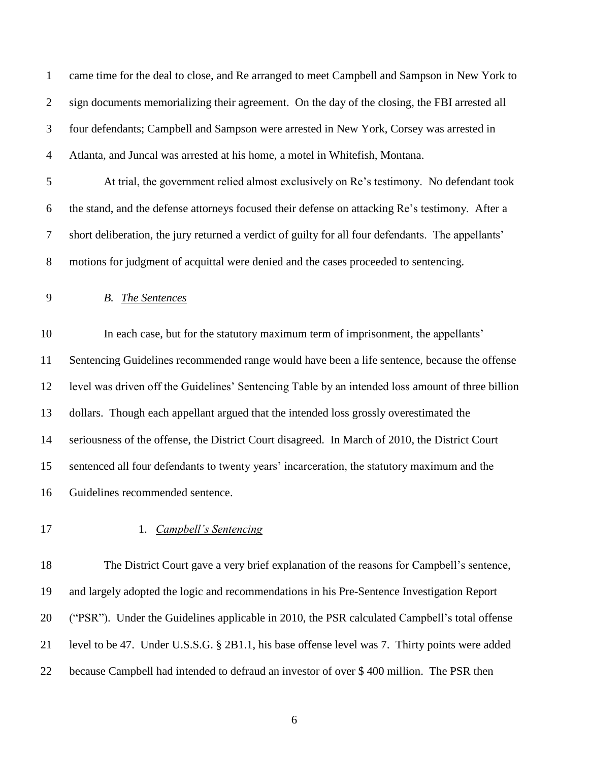came time for the deal to close, and Re arranged to meet Campbell and Sampson in New York to sign documents memorializing their agreement. On the day of the closing, the FBI arrested all four defendants; Campbell and Sampson were arrested in New York, Corsey was arrested in Atlanta, and Juncal was arrested at his home, a motel in Whitefish, Montana. At trial, the government relied almost exclusively on Re's testimony. No defendant took the stand, and the defense attorneys focused their defense on attacking Re's testimony. After a short deliberation, the jury returned a verdict of guilty for all four defendants. The appellants' motions for judgment of acquittal were denied and the cases proceeded to sentencing. *B. The Sentences* In each case, but for the statutory maximum term of imprisonment, the appellants' Sentencing Guidelines recommended range would have been a life sentence, because the offense level was driven off the Guidelines' Sentencing Table by an intended loss amount of three billion dollars. Though each appellant argued that the intended loss grossly overestimated the seriousness of the offense, the District Court disagreed. In March of 2010, the District Court sentenced all four defendants to twenty years' incarceration, the statutory maximum and the Guidelines recommended sentence.

### 1. *Campbell's Sentencing*

 The District Court gave a very brief explanation of the reasons for Campbell's sentence, and largely adopted the logic and recommendations in his Pre-Sentence Investigation Report ("PSR"). Under the Guidelines applicable in 2010, the PSR calculated Campbell's total offense level to be 47. Under U.S.S.G. § 2B1.1, his base offense level was 7. Thirty points were added because Campbell had intended to defraud an investor of over \$ 400 million. The PSR then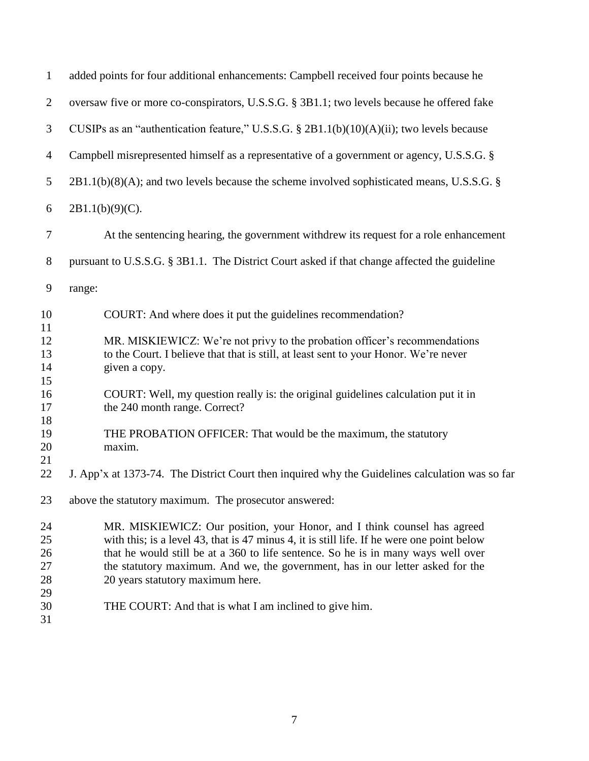| $\mathbf{1}$               | added points for four additional enhancements: Campbell received four points because he                                                                                                                                                                                                                                                                                           |
|----------------------------|-----------------------------------------------------------------------------------------------------------------------------------------------------------------------------------------------------------------------------------------------------------------------------------------------------------------------------------------------------------------------------------|
| $\overline{2}$             | oversaw five or more co-conspirators, U.S.S.G. § 3B1.1; two levels because he offered fake                                                                                                                                                                                                                                                                                        |
| 3                          | CUSIPs as an "authentication feature," U.S.S.G. § 2B1.1(b)(10)(A)(ii); two levels because                                                                                                                                                                                                                                                                                         |
| $\overline{4}$             | Campbell misrepresented himself as a representative of a government or agency, U.S.S.G. §                                                                                                                                                                                                                                                                                         |
| 5                          | $2B1.1(b)(8)(A)$ ; and two levels because the scheme involved sophisticated means, U.S.S.G. §                                                                                                                                                                                                                                                                                     |
| 6                          | $2B1.1(b)(9)(C)$ .                                                                                                                                                                                                                                                                                                                                                                |
| $\tau$                     | At the sentencing hearing, the government withdrew its request for a role enhancement                                                                                                                                                                                                                                                                                             |
| 8                          | pursuant to U.S.S.G. § 3B1.1. The District Court asked if that change affected the guideline                                                                                                                                                                                                                                                                                      |
| 9                          | range:                                                                                                                                                                                                                                                                                                                                                                            |
| 10                         | COURT: And where does it put the guidelines recommendation?                                                                                                                                                                                                                                                                                                                       |
| 11<br>12<br>13<br>14       | MR. MISKIEWICZ: We're not privy to the probation officer's recommendations<br>to the Court. I believe that that is still, at least sent to your Honor. We're never<br>given a copy.                                                                                                                                                                                               |
| 15<br>16<br>17<br>18       | COURT: Well, my question really is: the original guidelines calculation put it in<br>the 240 month range. Correct?                                                                                                                                                                                                                                                                |
| 19<br>20<br>21             | THE PROBATION OFFICER: That would be the maximum, the statutory<br>maxim.                                                                                                                                                                                                                                                                                                         |
| 22                         | J. App'x at 1373-74. The District Court then inquired why the Guidelines calculation was so far                                                                                                                                                                                                                                                                                   |
| 23                         | above the statutory maximum. The prosecutor answered:                                                                                                                                                                                                                                                                                                                             |
| 24<br>25<br>26<br>27<br>28 | MR. MISKIEWICZ: Our position, your Honor, and I think counsel has agreed<br>with this; is a level 43, that is 47 minus 4, it is still life. If he were one point below<br>that he would still be at a 360 to life sentence. So he is in many ways well over<br>the statutory maximum. And we, the government, has in our letter asked for the<br>20 years statutory maximum here. |
| 29<br>30<br>31             | THE COURT: And that is what I am inclined to give him.                                                                                                                                                                                                                                                                                                                            |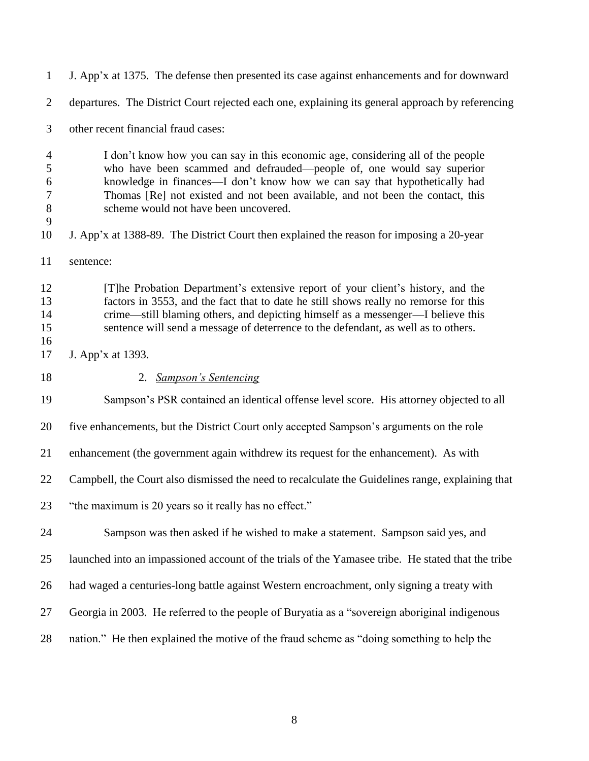| $\mathbf{1}$                                     | J. App'x at 1375. The defense then presented its case against enhancements and for downward                                                                                                                                                                                                                                                                       |
|--------------------------------------------------|-------------------------------------------------------------------------------------------------------------------------------------------------------------------------------------------------------------------------------------------------------------------------------------------------------------------------------------------------------------------|
| $\overline{2}$                                   | departures. The District Court rejected each one, explaining its general approach by referencing                                                                                                                                                                                                                                                                  |
| 3                                                | other recent financial fraud cases:                                                                                                                                                                                                                                                                                                                               |
| $\overline{4}$<br>5<br>6<br>$\tau$<br>$8\,$<br>9 | I don't know how you can say in this economic age, considering all of the people<br>who have been scammed and defrauded-people of, one would say superior<br>knowledge in finances—I don't know how we can say that hypothetically had<br>Thomas [Re] not existed and not been available, and not been the contact, this<br>scheme would not have been uncovered. |
| 10                                               | J. App'x at 1388-89. The District Court then explained the reason for imposing a 20-year                                                                                                                                                                                                                                                                          |
| 11                                               | sentence:                                                                                                                                                                                                                                                                                                                                                         |
| 12<br>13<br>14<br>15<br>16                       | [T]he Probation Department's extensive report of your client's history, and the<br>factors in 3553, and the fact that to date he still shows really no remorse for this<br>crime—still blaming others, and depicting himself as a messenger—I believe this<br>sentence will send a message of deterrence to the defendant, as well as to others.                  |
| 17                                               | J. App'x at 1393.                                                                                                                                                                                                                                                                                                                                                 |
| 18                                               | 2. Sampson's Sentencing                                                                                                                                                                                                                                                                                                                                           |
| 19                                               | Sampson's PSR contained an identical offense level score. His attorney objected to all                                                                                                                                                                                                                                                                            |
| 20                                               | five enhancements, but the District Court only accepted Sampson's arguments on the role                                                                                                                                                                                                                                                                           |
| 21                                               | enhancement (the government again withdrew its request for the enhancement). As with                                                                                                                                                                                                                                                                              |
| 22                                               | Campbell, the Court also dismissed the need to recalculate the Guidelines range, explaining that                                                                                                                                                                                                                                                                  |
| 23                                               | "the maximum is 20 years so it really has no effect."                                                                                                                                                                                                                                                                                                             |
| 24                                               | Sampson was then asked if he wished to make a statement. Sampson said yes, and                                                                                                                                                                                                                                                                                    |
| 25                                               | launched into an impassioned account of the trials of the Yamasee tribe. He stated that the tribe                                                                                                                                                                                                                                                                 |
| 26                                               | had waged a centuries-long battle against Western encroachment, only signing a treaty with                                                                                                                                                                                                                                                                        |
| 27                                               | Georgia in 2003. He referred to the people of Buryatia as a "sovereign aboriginal indigenous                                                                                                                                                                                                                                                                      |
| 28                                               | nation." He then explained the motive of the fraud scheme as "doing something to help the                                                                                                                                                                                                                                                                         |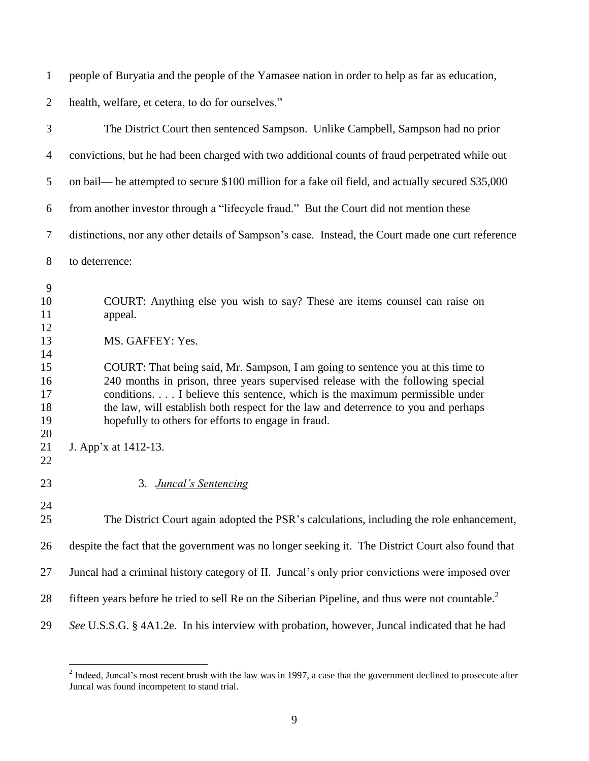people of Buryatia and the people of the Yamasee nation in order to help as far as education,

health, welfare, et cetera, to do for ourselves."

| 3                                                                               | The District Court then sentenced Sampson. Unlike Campbell, Sampson had no prior                                                                                                                                                                                                                                                                                                                                                                                                                                                   |
|---------------------------------------------------------------------------------|------------------------------------------------------------------------------------------------------------------------------------------------------------------------------------------------------------------------------------------------------------------------------------------------------------------------------------------------------------------------------------------------------------------------------------------------------------------------------------------------------------------------------------|
| $\overline{4}$                                                                  | convictions, but he had been charged with two additional counts of fraud perpetrated while out                                                                                                                                                                                                                                                                                                                                                                                                                                     |
| 5                                                                               | on bail— he attempted to secure \$100 million for a fake oil field, and actually secured \$35,000                                                                                                                                                                                                                                                                                                                                                                                                                                  |
| 6                                                                               | from another investor through a "lifecycle fraud." But the Court did not mention these                                                                                                                                                                                                                                                                                                                                                                                                                                             |
| 7                                                                               | distinctions, nor any other details of Sampson's case. Instead, the Court made one curt reference                                                                                                                                                                                                                                                                                                                                                                                                                                  |
| 8                                                                               | to deterrence:                                                                                                                                                                                                                                                                                                                                                                                                                                                                                                                     |
| 9<br>10<br>11<br>12<br>13<br>14<br>15<br>16<br>17<br>18<br>19<br>20<br>21<br>22 | COURT: Anything else you wish to say? These are items counsel can raise on<br>appeal.<br>MS. GAFFEY: Yes.<br>COURT: That being said, Mr. Sampson, I am going to sentence you at this time to<br>240 months in prison, three years supervised release with the following special<br>conditions I believe this sentence, which is the maximum permissible under<br>the law, will establish both respect for the law and deterrence to you and perhaps<br>hopefully to others for efforts to engage in fraud.<br>J. App'x at 1412-13. |
| 23                                                                              | 3. Juncal's Sentencing                                                                                                                                                                                                                                                                                                                                                                                                                                                                                                             |
| 24<br>25                                                                        | The District Court again adopted the PSR's calculations, including the role enhancement,                                                                                                                                                                                                                                                                                                                                                                                                                                           |
| 26                                                                              | despite the fact that the government was no longer seeking it. The District Court also found that                                                                                                                                                                                                                                                                                                                                                                                                                                  |
| 27                                                                              | Juncal had a criminal history category of II. Juncal's only prior convictions were imposed over                                                                                                                                                                                                                                                                                                                                                                                                                                    |
| 28                                                                              | fifteen years before he tried to sell Re on the Siberian Pipeline, and thus were not countable. <sup>2</sup>                                                                                                                                                                                                                                                                                                                                                                                                                       |
| 29                                                                              | See U.S.S.G. § 4A1.2e. In his interview with probation, however, Juncal indicated that he had                                                                                                                                                                                                                                                                                                                                                                                                                                      |

<sup>&</sup>lt;sup>2</sup> Indeed, Juncal's most recent brush with the law was in 1997, a case that the government declined to prosecute after Juncal was found incompetent to stand trial.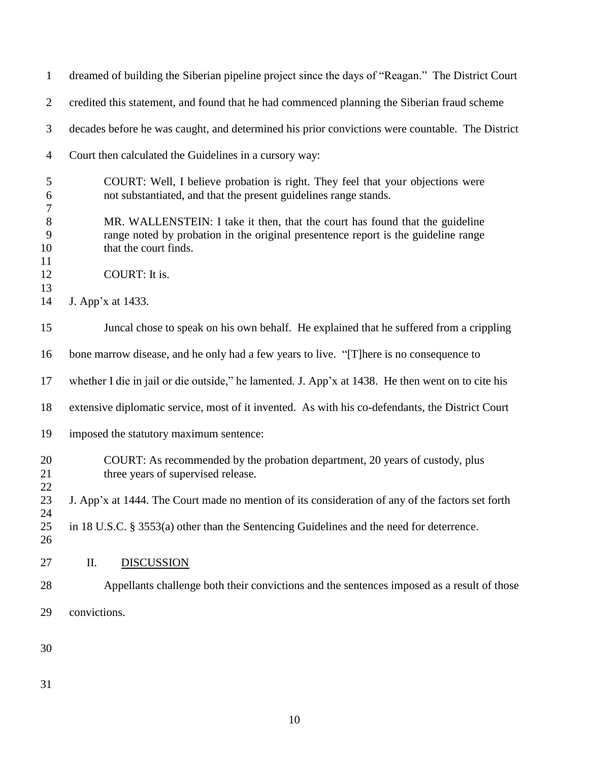| $\mathbf{1}$                                   | dreamed of building the Siberian pipeline project since the days of "Reagan." The District Court                                                                                                                                                                                                                                                  |
|------------------------------------------------|---------------------------------------------------------------------------------------------------------------------------------------------------------------------------------------------------------------------------------------------------------------------------------------------------------------------------------------------------|
| $\overline{2}$                                 | credited this statement, and found that he had commenced planning the Siberian fraud scheme                                                                                                                                                                                                                                                       |
| 3                                              | decades before he was caught, and determined his prior convictions were countable. The District                                                                                                                                                                                                                                                   |
| $\overline{4}$                                 | Court then calculated the Guidelines in a cursory way:                                                                                                                                                                                                                                                                                            |
| 5<br>6<br>$\boldsymbol{7}$<br>$8\,$<br>9<br>10 | COURT: Well, I believe probation is right. They feel that your objections were<br>not substantiated, and that the present guidelines range stands.<br>MR. WALLENSTEIN: I take it then, that the court has found that the guideline<br>range noted by probation in the original presentence report is the guideline range<br>that the court finds. |
| 11<br>12<br>13                                 | COURT: It is.                                                                                                                                                                                                                                                                                                                                     |
| 14                                             | J. App'x at 1433.                                                                                                                                                                                                                                                                                                                                 |
| 15                                             | Juncal chose to speak on his own behalf. He explained that he suffered from a crippling                                                                                                                                                                                                                                                           |
| 16                                             | bone marrow disease, and he only had a few years to live. "[T] here is no consequence to                                                                                                                                                                                                                                                          |
| 17                                             | whether I die in jail or die outside," he lamented. J. App'x at 1438. He then went on to cite his                                                                                                                                                                                                                                                 |
| 18                                             | extensive diplomatic service, most of it invented. As with his co-defendants, the District Court                                                                                                                                                                                                                                                  |
| 19                                             | imposed the statutory maximum sentence:                                                                                                                                                                                                                                                                                                           |
| 20<br>21                                       | COURT: As recommended by the probation department, 20 years of custody, plus<br>three years of supervised release.                                                                                                                                                                                                                                |
| 22<br>23<br>24                                 | J. App'x at 1444. The Court made no mention of its consideration of any of the factors set forth                                                                                                                                                                                                                                                  |
| 25<br>26                                       | in 18 U.S.C. § 3553(a) other than the Sentencing Guidelines and the need for deterrence.                                                                                                                                                                                                                                                          |
| 27                                             | Π.<br><b>DISCUSSION</b>                                                                                                                                                                                                                                                                                                                           |
| 28                                             | Appellants challenge both their convictions and the sentences imposed as a result of those                                                                                                                                                                                                                                                        |
| 29                                             | convictions.                                                                                                                                                                                                                                                                                                                                      |
| 30                                             |                                                                                                                                                                                                                                                                                                                                                   |
| 31                                             |                                                                                                                                                                                                                                                                                                                                                   |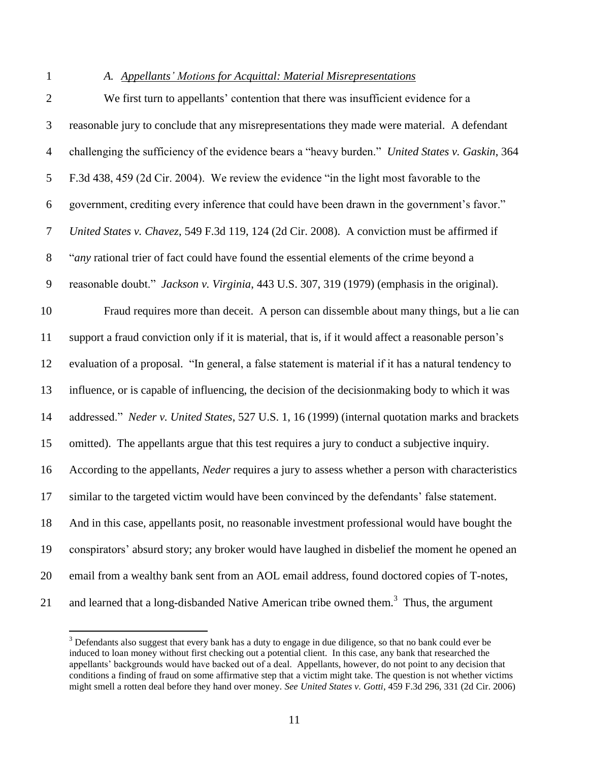$\overline{a}$ 

#### *A. Appellants' Motions for Acquittal: Material Misrepresentations*

 We first turn to appellants' contention that there was insufficient evidence for a reasonable jury to conclude that any misrepresentations they made were material. A defendant challenging the sufficiency of the evidence bears a "heavy burden." *United States v. Gaskin*, 364 F.3d 438, 459 (2d Cir. 2004). We review the evidence "in the light most favorable to the government, crediting every inference that could have been drawn in the government's favor." *United States v. Chavez*, 549 F.3d 119, 124 (2d Cir. 2008). A conviction must be affirmed if "*any* rational trier of fact could have found the essential elements of the crime beyond a reasonable doubt." *Jackson v. Virginia*, 443 U.S. 307, 319 (1979) (emphasis in the original). Fraud requires more than deceit. A person can dissemble about many things, but a lie can support a fraud conviction only if it is material, that is, if it would affect a reasonable person's evaluation of a proposal. "In general, a false statement is material if it has a natural tendency to influence, or is capable of influencing, the decision of the decisionmaking body to which it was addressed." *Neder v. United States*, 527 U.S. 1, 16 (1999) (internal quotation marks and brackets omitted). The appellants argue that this test requires a jury to conduct a subjective inquiry. According to the appellants, *Neder* requires a jury to assess whether a person with characteristics similar to the targeted victim would have been convinced by the defendants' false statement. And in this case, appellants posit, no reasonable investment professional would have bought the conspirators' absurd story; any broker would have laughed in disbelief the moment he opened an email from a wealthy bank sent from an AOL email address, found doctored copies of T-notes, 21 and learned that a long-disbanded Native American tribe owned them.<sup>3</sup> Thus, the argument

<sup>&</sup>lt;sup>3</sup> Defendants also suggest that every bank has a duty to engage in due diligence, so that no bank could ever be induced to loan money without first checking out a potential client. In this case, any bank that researched the appellants' backgrounds would have backed out of a deal. Appellants, however, do not point to any decision that conditions a finding of fraud on some affirmative step that a victim might take. The question is not whether victims might smell a rotten deal before they hand over money. *See United States v. Gotti*, 459 F.3d 296, 331 (2d Cir. 2006)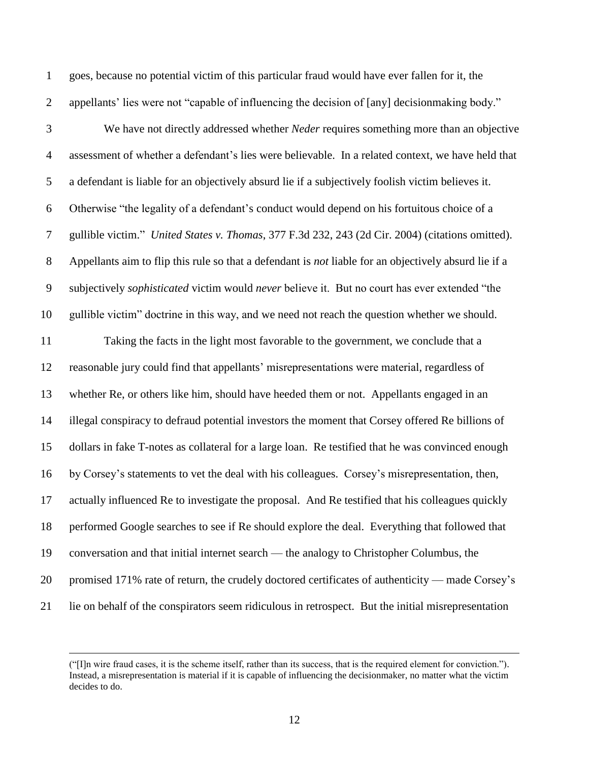goes, because no potential victim of this particular fraud would have ever fallen for it, the appellants' lies were not "capable of influencing the decision of [any] decisionmaking body."

 $\overline{a}$ 

 We have not directly addressed whether *Neder* requires something more than an objective assessment of whether a defendant's lies were believable. In a related context, we have held that a defendant is liable for an objectively absurd lie if a subjectively foolish victim believes it. Otherwise "the legality of a defendant's conduct would depend on his fortuitous choice of a gullible victim." *United States v. Thomas*, 377 F.3d 232, 243 (2d Cir. 2004) (citations omitted). Appellants aim to flip this rule so that a defendant is *not* liable for an objectively absurd lie if a subjectively *sophisticated* victim would *never* believe it. But no court has ever extended "the gullible victim" doctrine in this way, and we need not reach the question whether we should.

 Taking the facts in the light most favorable to the government, we conclude that a reasonable jury could find that appellants' misrepresentations were material, regardless of whether Re, or others like him, should have heeded them or not. Appellants engaged in an illegal conspiracy to defraud potential investors the moment that Corsey offered Re billions of dollars in fake T-notes as collateral for a large loan. Re testified that he was convinced enough by Corsey's statements to vet the deal with his colleagues. Corsey's misrepresentation, then, actually influenced Re to investigate the proposal. And Re testified that his colleagues quickly performed Google searches to see if Re should explore the deal. Everything that followed that conversation and that initial internet search — the analogy to Christopher Columbus, the promised 171% rate of return, the crudely doctored certificates of authenticity — made Corsey's lie on behalf of the conspirators seem ridiculous in retrospect. But the initial misrepresentation

<sup>(&</sup>quot;[I]n wire fraud cases, it is the scheme itself, rather than its success, that is the required element for conviction."). Instead, a misrepresentation is material if it is capable of influencing the decisionmaker, no matter what the victim decides to do.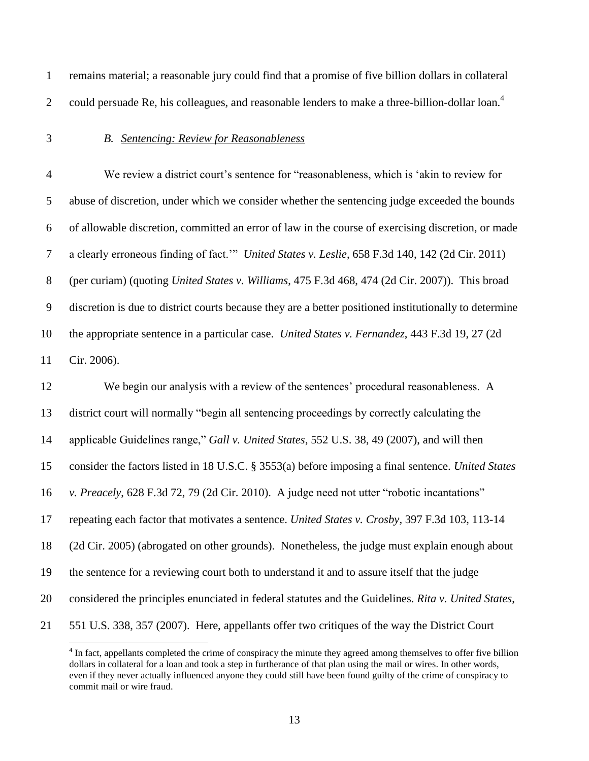remains material; a reasonable jury could find that a promise of five billion dollars in collateral could persuade Re, his colleagues, and reasonable lenders to make a three-billion-dollar loan.<sup>4</sup>  $\mathcal{L}$ 

 $\overline{a}$ 

### *B. Sentencing: Review for Reasonableness*

 We review a district court's sentence for "reasonableness, which is 'akin to review for abuse of discretion, under which we consider whether the sentencing judge exceeded the bounds of allowable discretion, committed an error of law in the course of exercising discretion, or made a clearly erroneous finding of fact.'" *United States v. Leslie*, 658 F.3d 140, 142 (2d Cir. 2011) (per curiam) (quoting *United States v. Williams*, 475 F.3d 468, 474 (2d Cir. 2007)). This broad discretion is due to district courts because they are a better positioned institutionally to determine the appropriate sentence in a particular case. *United States v. Fernandez*, 443 F.3d 19, 27 (2d Cir. 2006).

 We begin our analysis with a review of the sentences' procedural reasonableness. A district court will normally "begin all sentencing proceedings by correctly calculating the applicable Guidelines range," *Gall v. United States*, 552 U.S. 38, 49 (2007), and will then consider the factors listed in 18 U.S.C. § 3553(a) before imposing a final sentence. *United States v. Preacely*, 628 F.3d 72, 79 (2d Cir. 2010). A judge need not utter "robotic incantations" repeating each factor that motivates a sentence. *United States v. Crosby,* 397 F.3d 103, 113-14 (2d Cir. 2005) (abrogated on other grounds). Nonetheless, the judge must explain enough about the sentence for a reviewing court both to understand it and to assure itself that the judge considered the principles enunciated in federal statutes and the Guidelines. *Rita v. United States*, 551 U.S. 338, 357 (2007). Here, appellants offer two critiques of the way the District Court

 $4 \text{ In fact, appellants completed the crime of conspiracy the minute they agreed among themselves to offer five billion.}$ dollars in collateral for a loan and took a step in furtherance of that plan using the mail or wires. In other words, even if they never actually influenced anyone they could still have been found guilty of the crime of conspiracy to commit mail or wire fraud.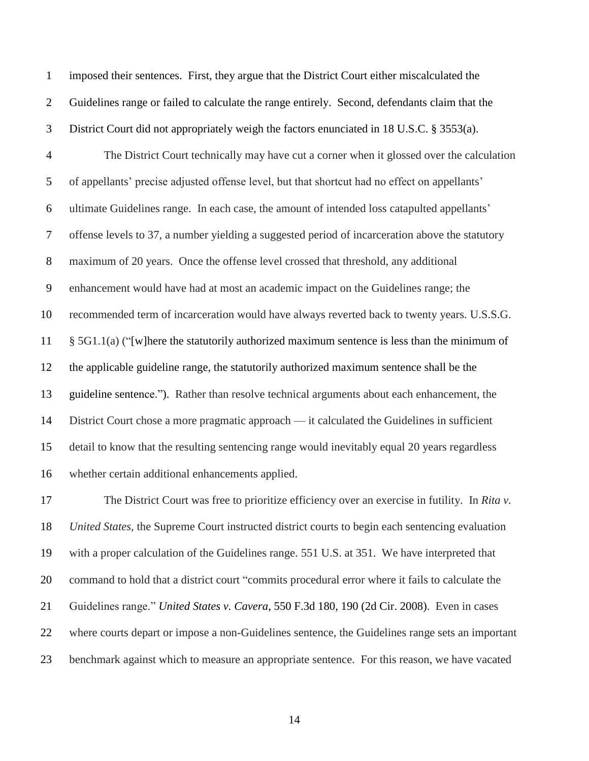imposed their sentences. First, they argue that the District Court either miscalculated the Guidelines range or failed to calculate the range entirely. Second, defendants claim that the District Court did not appropriately weigh the factors enunciated in 18 U.S.C. § 3553(a). The District Court technically may have cut a corner when it glossed over the calculation of appellants' precise adjusted offense level, but that shortcut had no effect on appellants' ultimate Guidelines range. In each case, the amount of intended loss catapulted appellants' offense levels to 37, a number yielding a suggested period of incarceration above the statutory maximum of 20 years. Once the offense level crossed that threshold, any additional enhancement would have had at most an academic impact on the Guidelines range; the recommended term of incarceration would have always reverted back to twenty years. U.S.S.G. § 5G1.1(a) ("[w]here the statutorily authorized maximum sentence is less than the minimum of the applicable guideline range, the statutorily authorized maximum sentence shall be the guideline sentence."). Rather than resolve technical arguments about each enhancement, the District Court chose a more pragmatic approach — it calculated the Guidelines in sufficient detail to know that the resulting sentencing range would inevitably equal 20 years regardless whether certain additional enhancements applied. The District Court was free to prioritize efficiency over an exercise in futility. In *Rita v.* 

 *United States,* the Supreme Court instructed district courts to begin each sentencing evaluation with a proper calculation of the Guidelines range. 551 U.S. at 351. We have interpreted that command to hold that a district court "commits procedural error where it fails to calculate the Guidelines range." *United States v. Cavera*, 550 F.3d 180, 190 (2d Cir. 2008). Even in cases where courts depart or impose a non-Guidelines sentence, the Guidelines range sets an important benchmark against which to measure an appropriate sentence. For this reason, we have vacated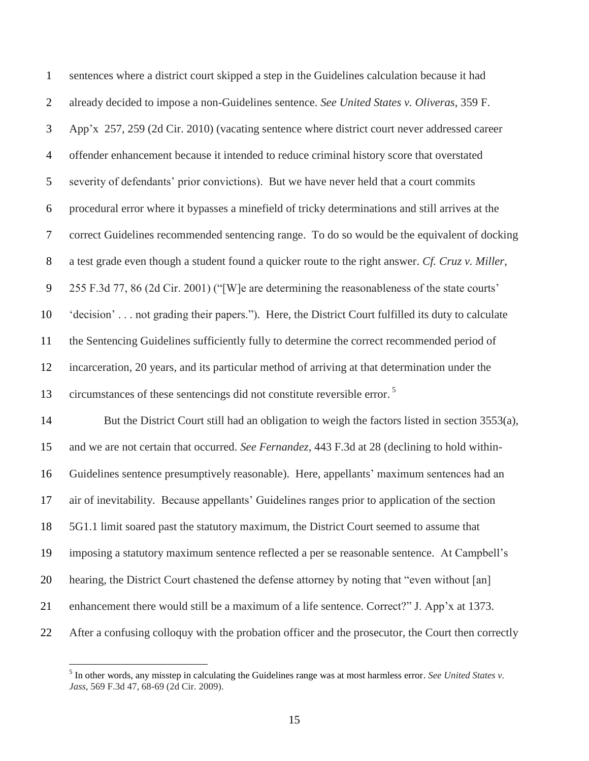sentences where a district court skipped a step in the Guidelines calculation because it had already decided to impose a non-Guidelines sentence. *See United States v. Oliveras*, 359 F. App'x 257, 259 (2d Cir. 2010) (vacating sentence where district court never addressed career offender enhancement because it intended to reduce criminal history score that overstated severity of defendants' prior convictions). But we have never held that a court commits procedural error where it bypasses a minefield of tricky determinations and still arrives at the correct Guidelines recommended sentencing range. To do so would be the equivalent of docking a test grade even though a student found a quicker route to the right answer. *Cf. Cruz v. Miller*, 255 F.3d 77, 86 (2d Cir. 2001) ("[W]e are determining the reasonableness of the state courts' 'decision' . . . not grading their papers."). Here, the District Court fulfilled its duty to calculate the Sentencing Guidelines sufficiently fully to determine the correct recommended period of incarceration, 20 years, and its particular method of arriving at that determination under the circumstances of these sentencings did not constitute reversible error. <sup>5</sup> 14 But the District Court still had an obligation to weigh the factors listed in section 3553(a), and we are not certain that occurred. *See Fernandez*, 443 F.3d at 28 (declining to hold within- Guidelines sentence presumptively reasonable). Here, appellants' maximum sentences had an air of inevitability. Because appellants' Guidelines ranges prior to application of the section 5G1.1 limit soared past the statutory maximum, the District Court seemed to assume that imposing a statutory maximum sentence reflected a per se reasonable sentence. At Campbell's hearing, the District Court chastened the defense attorney by noting that "even without [an] enhancement there would still be a maximum of a life sentence. Correct?" J. App'x at 1373.

After a confusing colloquy with the probation officer and the prosecutor, the Court then correctly

 $\overline{a}$ 

 In other words, any misstep in calculating the Guidelines range was at most harmless error. *See United States v. Jass*, 569 F.3d 47, 68-69 (2d Cir. 2009).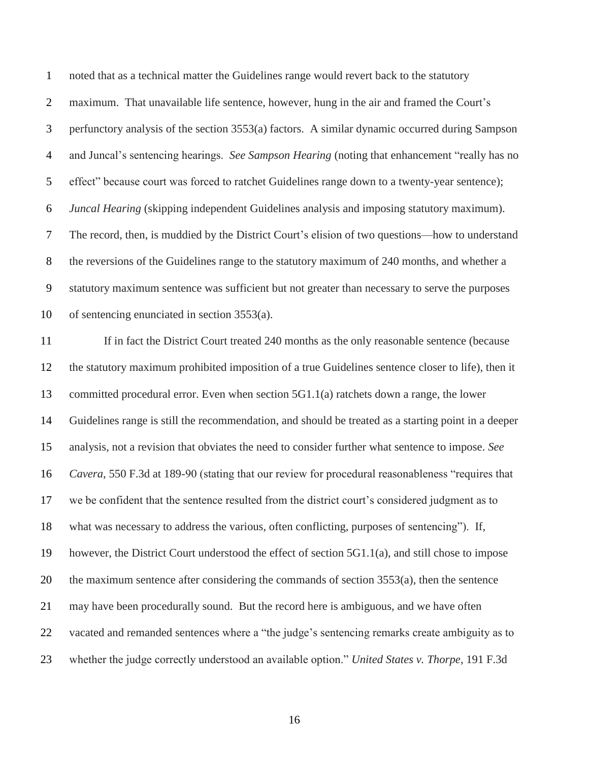noted that as a technical matter the Guidelines range would revert back to the statutory maximum. That unavailable life sentence, however, hung in the air and framed the Court's perfunctory analysis of the section 3553(a) factors. A similar dynamic occurred during Sampson and Juncal's sentencing hearings. *See Sampson Hearing* (noting that enhancement "really has no effect" because court was forced to ratchet Guidelines range down to a twenty-year sentence); *Juncal Hearing* (skipping independent Guidelines analysis and imposing statutory maximum). The record, then, is muddied by the District Court's elision of two questions—how to understand the reversions of the Guidelines range to the statutory maximum of 240 months, and whether a statutory maximum sentence was sufficient but not greater than necessary to serve the purposes of sentencing enunciated in section 3553(a).

11 If in fact the District Court treated 240 months as the only reasonable sentence (because the statutory maximum prohibited imposition of a true Guidelines sentence closer to life), then it committed procedural error. Even when section 5G1.1(a) ratchets down a range, the lower Guidelines range is still the recommendation, and should be treated as a starting point in a deeper analysis, not a revision that obviates the need to consider further what sentence to impose. *See Cavera*, 550 F.3d at 189-90 (stating that our review for procedural reasonableness "requires that we be confident that the sentence resulted from the district court's considered judgment as to what was necessary to address the various, often conflicting, purposes of sentencing"). If, however, the District Court understood the effect of section 5G1.1(a), and still chose to impose the maximum sentence after considering the commands of section 3553(a), then the sentence may have been procedurally sound. But the record here is ambiguous, and we have often vacated and remanded sentences where a "the judge's sentencing remarks create ambiguity as to whether the judge correctly understood an available option." *United States v. Thorpe*, 191 F.3d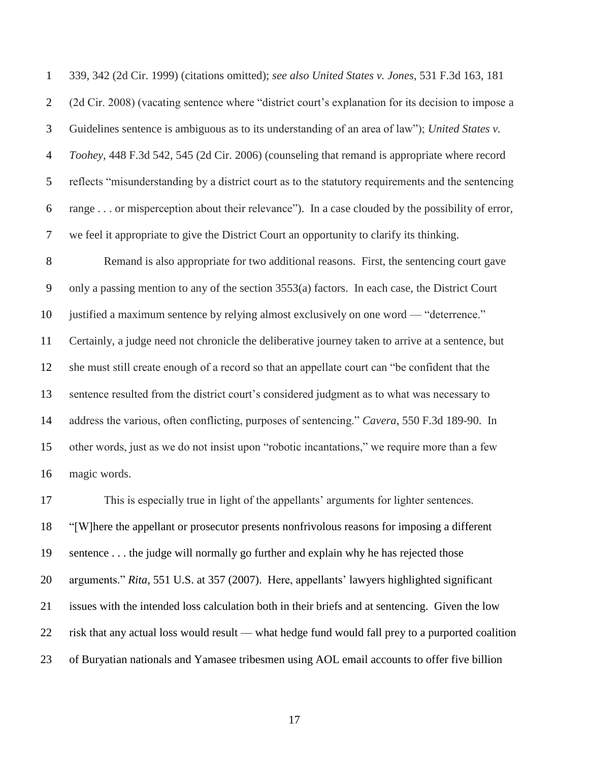339, 342 (2d Cir. 1999) (citations omitted); *see also United States v. Jones*, 531 F.3d 163, 181 (2d Cir. 2008) (vacating sentence where "district court's explanation for its decision to impose a Guidelines sentence is ambiguous as to its understanding of an area of law"); *United States v. Toohey*, 448 F.3d 542, 545 (2d Cir. 2006) (counseling that remand is appropriate where record reflects "misunderstanding by a district court as to the statutory requirements and the sentencing range . . . or misperception about their relevance"). In a case clouded by the possibility of error, we feel it appropriate to give the District Court an opportunity to clarify its thinking.

 Remand is also appropriate for two additional reasons. First, the sentencing court gave only a passing mention to any of the section 3553(a) factors. In each case, the District Court justified a maximum sentence by relying almost exclusively on one word — "deterrence." Certainly, a judge need not chronicle the deliberative journey taken to arrive at a sentence, but she must still create enough of a record so that an appellate court can "be confident that the sentence resulted from the district court's considered judgment as to what was necessary to address the various, often conflicting, purposes of sentencing." *Cavera*, 550 F.3d 189-90. In other words, just as we do not insist upon "robotic incantations," we require more than a few magic words.

 This is especially true in light of the appellants' arguments for lighter sentences. "[W]here the appellant or prosecutor presents nonfrivolous reasons for imposing a different sentence . . . the judge will normally go further and explain why he has rejected those arguments." *Rita*, 551 U.S. at 357 (2007). Here, appellants' lawyers highlighted significant issues with the intended loss calculation both in their briefs and at sentencing. Given the low risk that any actual loss would result — what hedge fund would fall prey to a purported coalition of Buryatian nationals and Yamasee tribesmen using AOL email accounts to offer five billion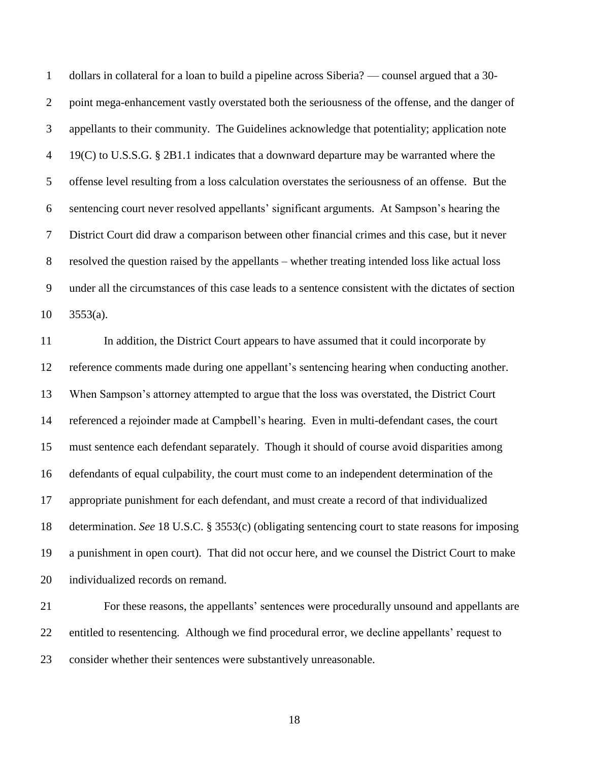dollars in collateral for a loan to build a pipeline across Siberia? — counsel argued that a 30- point mega-enhancement vastly overstated both the seriousness of the offense, and the danger of appellants to their community. The Guidelines acknowledge that potentiality; application note 19(C) to U.S.S.G. § 2B1.1 indicates that a downward departure may be warranted where the offense level resulting from a loss calculation overstates the seriousness of an offense. But the sentencing court never resolved appellants' significant arguments. At Sampson's hearing the District Court did draw a comparison between other financial crimes and this case, but it never resolved the question raised by the appellants – whether treating intended loss like actual loss under all the circumstances of this case leads to a sentence consistent with the dictates of section 3553(a).

11 In addition, the District Court appears to have assumed that it could incorporate by reference comments made during one appellant's sentencing hearing when conducting another. When Sampson's attorney attempted to argue that the loss was overstated, the District Court referenced a rejoinder made at Campbell's hearing. Even in multi-defendant cases, the court must sentence each defendant separately. Though it should of course avoid disparities among defendants of equal culpability, the court must come to an independent determination of the appropriate punishment for each defendant, and must create a record of that individualized determination. *See* 18 U.S.C. § 3553(c) (obligating sentencing court to state reasons for imposing a punishment in open court). That did not occur here, and we counsel the District Court to make individualized records on remand.

 For these reasons, the appellants' sentences were procedurally unsound and appellants are entitled to resentencing. Although we find procedural error, we decline appellants' request to consider whether their sentences were substantively unreasonable.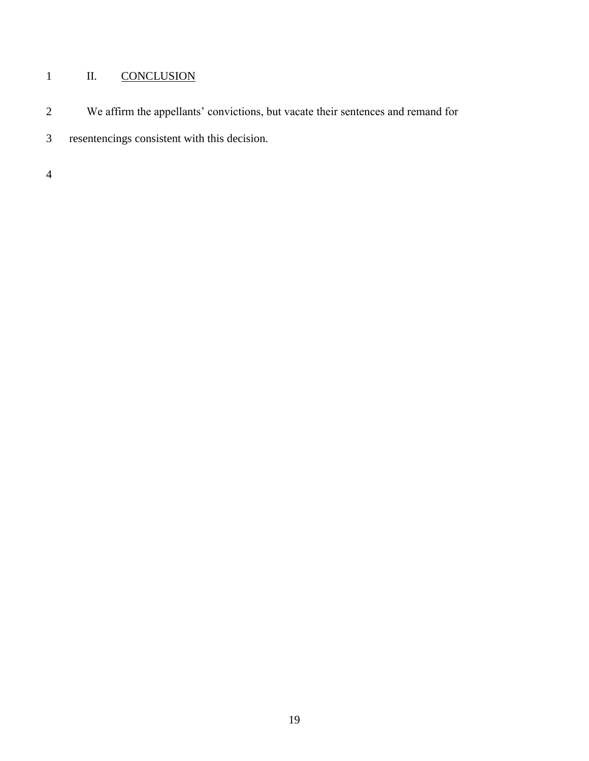## 1 II. CONCLUSION

We affirm the appellants' convictions, but vacate their sentences and remand for

resentencings consistent with this decision.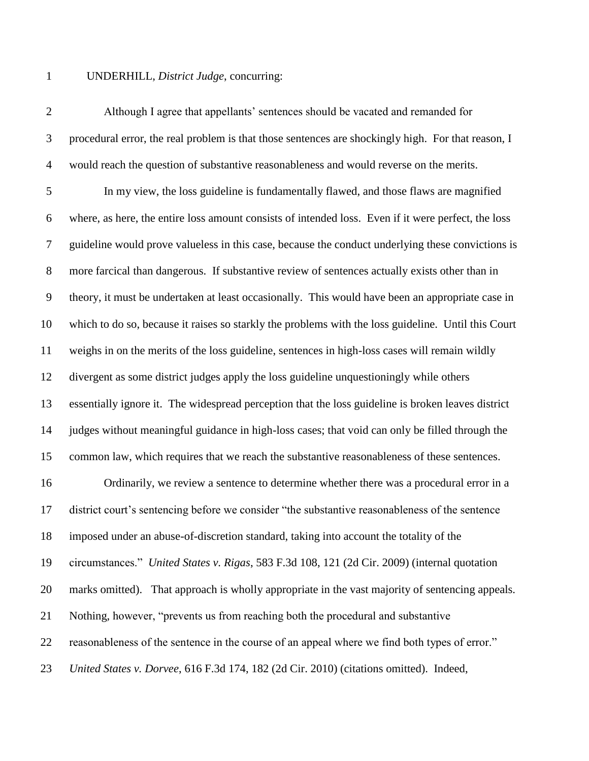#### UNDERHILL, *District Judge*, concurring:

 Although I agree that appellants' sentences should be vacated and remanded for procedural error, the real problem is that those sentences are shockingly high. For that reason, I would reach the question of substantive reasonableness and would reverse on the merits. In my view, the loss guideline is fundamentally flawed, and those flaws are magnified where, as here, the entire loss amount consists of intended loss. Even if it were perfect, the loss guideline would prove valueless in this case, because the conduct underlying these convictions is more farcical than dangerous. If substantive review of sentences actually exists other than in theory, it must be undertaken at least occasionally. This would have been an appropriate case in which to do so, because it raises so starkly the problems with the loss guideline. Until this Court weighs in on the merits of the loss guideline, sentences in high-loss cases will remain wildly divergent as some district judges apply the loss guideline unquestioningly while others essentially ignore it. The widespread perception that the loss guideline is broken leaves district judges without meaningful guidance in high-loss cases; that void can only be filled through the common law, which requires that we reach the substantive reasonableness of these sentences. Ordinarily, we review a sentence to determine whether there was a procedural error in a district court's sentencing before we consider "the substantive reasonableness of the sentence imposed under an abuse-of-discretion standard, taking into account the totality of the circumstances." *United States v. Rigas*, 583 F.3d 108, 121 (2d Cir. 2009) (internal quotation marks omitted). That approach is wholly appropriate in the vast majority of sentencing appeals. Nothing, however, "prevents us from reaching both the procedural and substantive reasonableness of the sentence in the course of an appeal where we find both types of error." *United States v. Dorvee*, 616 F.3d 174, 182 (2d Cir. 2010) (citations omitted). Indeed,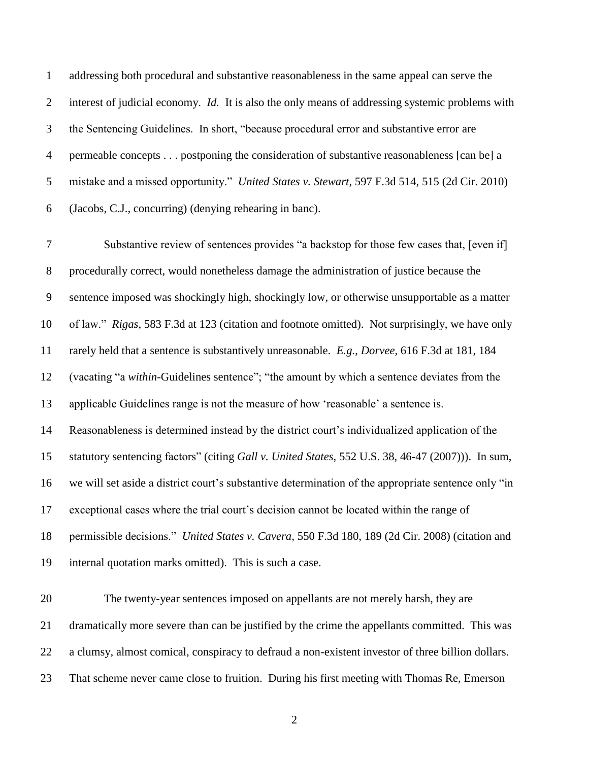addressing both procedural and substantive reasonableness in the same appeal can serve the interest of judicial economy. *Id.* It is also the only means of addressing systemic problems with the Sentencing Guidelines. In short, "because procedural error and substantive error are permeable concepts . . . postponing the consideration of substantive reasonableness [can be] a mistake and a missed opportunity." *United States v. Stewart*, 597 F.3d 514, 515 (2d Cir. 2010) (Jacobs, C.J., concurring) (denying rehearing in banc).

 Substantive review of sentences provides "a backstop for those few cases that, [even if] procedurally correct, would nonetheless damage the administration of justice because the sentence imposed was shockingly high, shockingly low, or otherwise unsupportable as a matter of law." *Rigas*, 583 F.3d at 123 (citation and footnote omitted). Not surprisingly, we have only rarely held that a sentence is substantively unreasonable. *E.g.*, *Dorvee*, 616 F.3d at 181, 184 (vacating "a *within*-Guidelines sentence"; "the amount by which a sentence deviates from the applicable Guidelines range is not the measure of how 'reasonable' a sentence is. Reasonableness is determined instead by the district court's individualized application of the statutory sentencing factors" (citing *Gall v. United States*, 552 U.S. 38, 46-47 (2007))). In sum, we will set aside a district court's substantive determination of the appropriate sentence only "in exceptional cases where the trial court's decision cannot be located within the range of permissible decisions." *United States v. Cavera*, 550 F.3d 180, 189 (2d Cir. 2008) (citation and internal quotation marks omitted). This is such a case.

 The twenty-year sentences imposed on appellants are not merely harsh, they are dramatically more severe than can be justified by the crime the appellants committed. This was a clumsy, almost comical, conspiracy to defraud a non-existent investor of three billion dollars. That scheme never came close to fruition. During his first meeting with Thomas Re, Emerson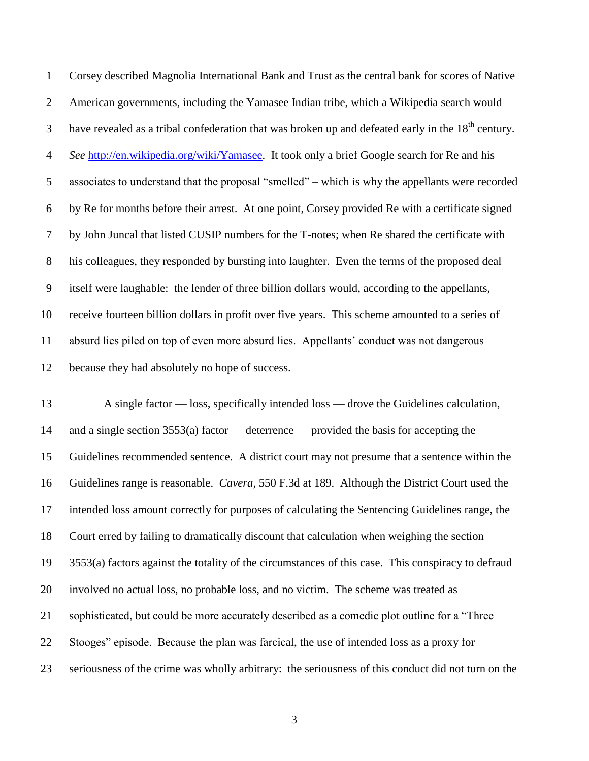Corsey described Magnolia International Bank and Trust as the central bank for scores of Native American governments, including the Yamasee Indian tribe, which a Wikipedia search would have revealed as a tribal confederation that was broken up and defeated early in the  $18<sup>th</sup>$  century. *See* [http://en.wikipedia.org/wiki/Yamasee.](http://en.wikipedia.org/wiki/Yamasee) It took only a brief Google search for Re and his associates to understand that the proposal "smelled" – which is why the appellants were recorded by Re for months before their arrest. At one point, Corsey provided Re with a certificate signed by John Juncal that listed CUSIP numbers for the T-notes; when Re shared the certificate with his colleagues, they responded by bursting into laughter. Even the terms of the proposed deal itself were laughable: the lender of three billion dollars would, according to the appellants, receive fourteen billion dollars in profit over five years. This scheme amounted to a series of absurd lies piled on top of even more absurd lies. Appellants' conduct was not dangerous because they had absolutely no hope of success.

 A single factor — loss, specifically intended loss — drove the Guidelines calculation, and a single section 3553(a) factor — deterrence — provided the basis for accepting the Guidelines recommended sentence. A district court may not presume that a sentence within the Guidelines range is reasonable. *Cavera*, 550 F.3d at 189. Although the District Court used the intended loss amount correctly for purposes of calculating the Sentencing Guidelines range, the Court erred by failing to dramatically discount that calculation when weighing the section 3553(a) factors against the totality of the circumstances of this case. This conspiracy to defraud involved no actual loss, no probable loss, and no victim. The scheme was treated as sophisticated, but could be more accurately described as a comedic plot outline for a "Three Stooges" episode. Because the plan was farcical, the use of intended loss as a proxy for seriousness of the crime was wholly arbitrary: the seriousness of this conduct did not turn on the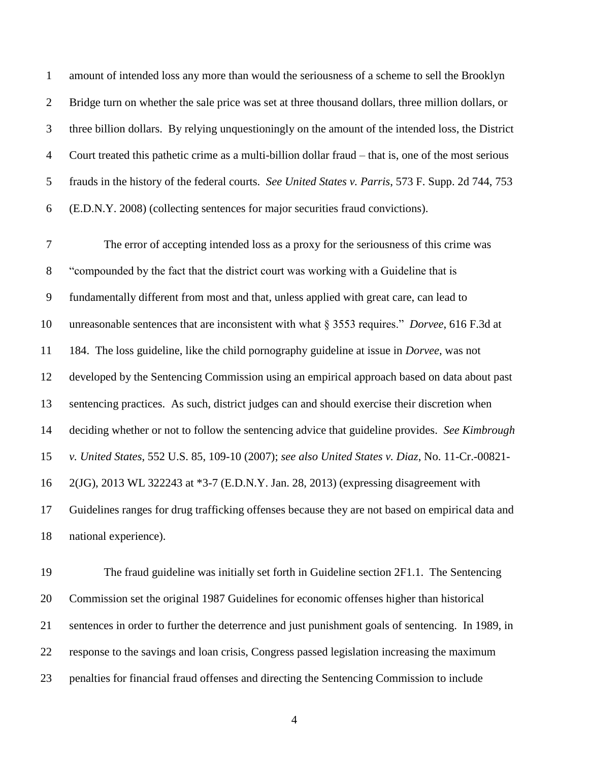amount of intended loss any more than would the seriousness of a scheme to sell the Brooklyn Bridge turn on whether the sale price was set at three thousand dollars, three million dollars, or three billion dollars. By relying unquestioningly on the amount of the intended loss, the District Court treated this pathetic crime as a multi-billion dollar fraud – that is, one of the most serious frauds in the history of the federal courts. *See United States v. Parris*, 573 F. Supp. 2d 744, 753 (E.D.N.Y. 2008) (collecting sentences for major securities fraud convictions).

 The error of accepting intended loss as a proxy for the seriousness of this crime was "compounded by the fact that the district court was working with a Guideline that is fundamentally different from most and that, unless applied with great care, can lead to unreasonable sentences that are inconsistent with what § 3553 requires." *Dorvee*, 616 F.3d at 184. The loss guideline, like the child pornography guideline at issue in *Dorvee*, was not developed by the Sentencing Commission using an empirical approach based on data about past sentencing practices. As such, district judges can and should exercise their discretion when deciding whether or not to follow the sentencing advice that guideline provides. *See Kimbrough v. United States*, 552 U.S. 85, 109-10 (2007); *see also United States v. Diaz*, No. 11-Cr.-00821- 2(JG), 2013 WL 322243 at \*3-7 (E.D.N.Y. Jan. 28, 2013) (expressing disagreement with Guidelines ranges for drug trafficking offenses because they are not based on empirical data and national experience).

 The fraud guideline was initially set forth in Guideline section 2F1.1. The Sentencing Commission set the original 1987 Guidelines for economic offenses higher than historical sentences in order to further the deterrence and just punishment goals of sentencing. In 1989, in response to the savings and loan crisis, Congress passed legislation increasing the maximum penalties for financial fraud offenses and directing the Sentencing Commission to include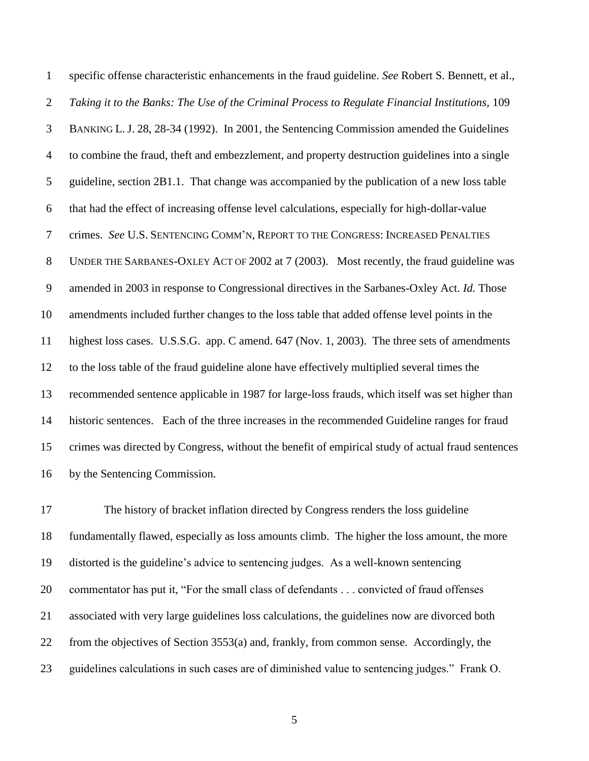specific offense characteristic enhancements in the fraud guideline. *See* Robert S. Bennett, et al., *Taking it to the Banks: The Use of the Criminal Process to Regulate Financial Institutions,* 109 BANKING L. J. 28, 28-34 (1992). In 2001, the Sentencing Commission amended the Guidelines to combine the fraud, theft and embezzlement, and property destruction guidelines into a single guideline, section 2B1.1. That change was accompanied by the publication of a new loss table that had the effect of increasing offense level calculations, especially for high-dollar-value crimes. *See* U.S. SENTENCING COMM'N, REPORT TO THE CONGRESS: INCREASED PENALTIES UNDER THE SARBANES-OXLEY ACT OF 2002 at 7 (2003). Most recently, the fraud guideline was amended in 2003 in response to Congressional directives in the Sarbanes-Oxley Act. *Id.* Those amendments included further changes to the loss table that added offense level points in the highest loss cases. U.S.S.G. app. C amend. 647 (Nov. 1, 2003). The three sets of amendments to the loss table of the fraud guideline alone have effectively multiplied several times the recommended sentence applicable in 1987 for large-loss frauds, which itself was set higher than historic sentences. Each of the three increases in the recommended Guideline ranges for fraud crimes was directed by Congress, without the benefit of empirical study of actual fraud sentences by the Sentencing Commission.

 The history of bracket inflation directed by Congress renders the loss guideline fundamentally flawed, especially as loss amounts climb. The higher the loss amount, the more distorted is the guideline's advice to sentencing judges. As a well-known sentencing commentator has put it, "For the small class of defendants . . . convicted of fraud offenses associated with very large guidelines loss calculations, the guidelines now are divorced both from the objectives of Section 3553(a) and, frankly, from common sense. Accordingly, the guidelines calculations in such cases are of diminished value to sentencing judges." Frank O.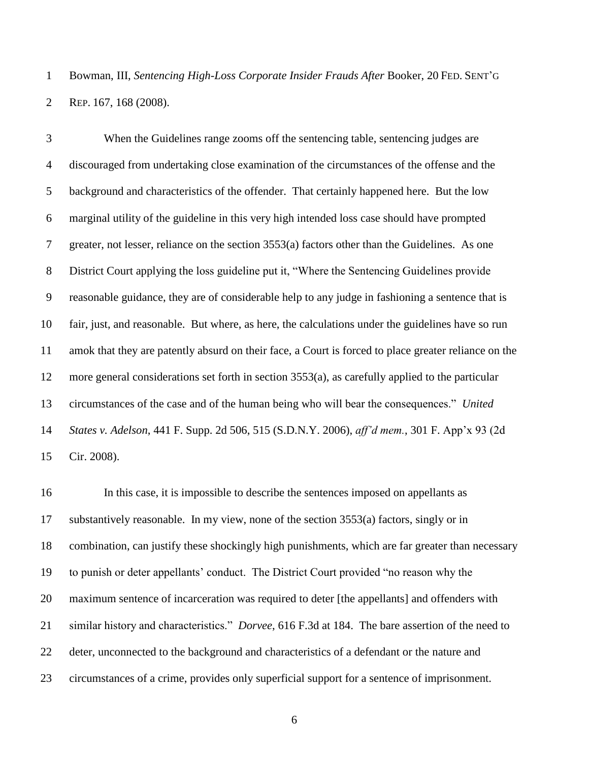Bowman, III, *Sentencing High-Loss Corporate Insider Frauds After* Booker, 20 FED. SENT'G REP. 167, 168 (2008).

 When the Guidelines range zooms off the sentencing table, sentencing judges are discouraged from undertaking close examination of the circumstances of the offense and the background and characteristics of the offender. That certainly happened here. But the low marginal utility of the guideline in this very high intended loss case should have prompted greater, not lesser, reliance on the section 3553(a) factors other than the Guidelines. As one District Court applying the loss guideline put it, "Where the Sentencing Guidelines provide reasonable guidance, they are of considerable help to any judge in fashioning a sentence that is fair, just, and reasonable. But where, as here, the calculations under the guidelines have so run amok that they are patently absurd on their face, a Court is forced to place greater reliance on the more general considerations set forth in section 3553(a), as carefully applied to the particular circumstances of the case and of the human being who will bear the consequences." *United States v. Adelson*, 441 F. Supp. 2d 506, 515 (S.D.N.Y. 2006), *aff'd mem.*, 301 F. App'x 93 (2d Cir. 2008).

 In this case, it is impossible to describe the sentences imposed on appellants as substantively reasonable. In my view, none of the section 3553(a) factors, singly or in combination, can justify these shockingly high punishments, which are far greater than necessary to punish or deter appellants' conduct. The District Court provided "no reason why the maximum sentence of incarceration was required to deter [the appellants] and offenders with similar history and characteristics." *Dorvee*, 616 F.3d at 184. The bare assertion of the need to deter, unconnected to the background and characteristics of a defendant or the nature and circumstances of a crime, provides only superficial support for a sentence of imprisonment.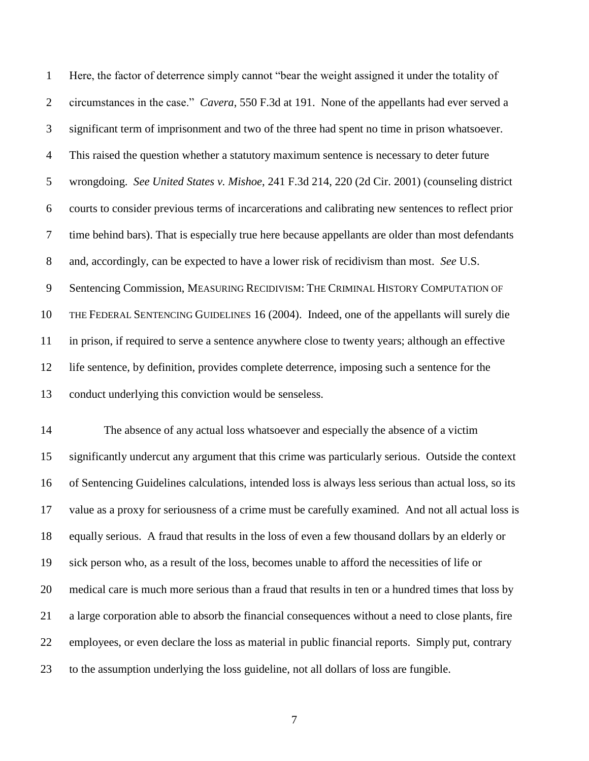Here, the factor of deterrence simply cannot "bear the weight assigned it under the totality of circumstances in the case." *Cavera*, 550 F.3d at 191. None of the appellants had ever served a significant term of imprisonment and two of the three had spent no time in prison whatsoever. This raised the question whether a statutory maximum sentence is necessary to deter future wrongdoing. *See United States v. Mishoe*, 241 F.3d 214, 220 (2d Cir. 2001) (counseling district courts to consider previous terms of incarcerations and calibrating new sentences to reflect prior time behind bars). That is especially true here because appellants are older than most defendants and, accordingly, can be expected to have a lower risk of recidivism than most. *See* U.S. Sentencing Commission, MEASURING RECIDIVISM: THE CRIMINAL HISTORY COMPUTATION OF THE FEDERAL SENTENCING GUIDELINES 16 (2004). Indeed, one of the appellants will surely die in prison, if required to serve a sentence anywhere close to twenty years; although an effective life sentence, by definition, provides complete deterrence, imposing such a sentence for the conduct underlying this conviction would be senseless.

 The absence of any actual loss whatsoever and especially the absence of a victim significantly undercut any argument that this crime was particularly serious. Outside the context of Sentencing Guidelines calculations, intended loss is always less serious than actual loss, so its value as a proxy for seriousness of a crime must be carefully examined. And not all actual loss is equally serious. A fraud that results in the loss of even a few thousand dollars by an elderly or sick person who, as a result of the loss, becomes unable to afford the necessities of life or medical care is much more serious than a fraud that results in ten or a hundred times that loss by a large corporation able to absorb the financial consequences without a need to close plants, fire employees, or even declare the loss as material in public financial reports. Simply put, contrary to the assumption underlying the loss guideline, not all dollars of loss are fungible.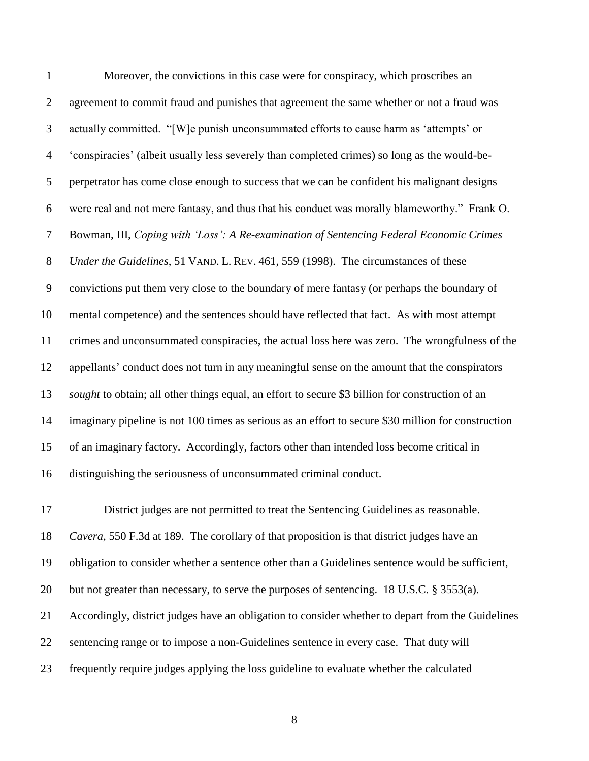Moreover, the convictions in this case were for conspiracy, which proscribes an agreement to commit fraud and punishes that agreement the same whether or not a fraud was actually committed. "[W]e punish unconsummated efforts to cause harm as 'attempts' or 'conspiracies' (albeit usually less severely than completed crimes) so long as the would-be- perpetrator has come close enough to success that we can be confident his malignant designs were real and not mere fantasy, and thus that his conduct was morally blameworthy." Frank O. Bowman, III, *Coping with 'Loss': A Re-examination of Sentencing Federal Economic Crimes Under the Guidelines*, 51 VAND. L. REV. 461, 559 (1998). The circumstances of these convictions put them very close to the boundary of mere fantasy (or perhaps the boundary of mental competence) and the sentences should have reflected that fact. As with most attempt crimes and unconsummated conspiracies, the actual loss here was zero. The wrongfulness of the appellants' conduct does not turn in any meaningful sense on the amount that the conspirators *sought* to obtain; all other things equal, an effort to secure \$3 billion for construction of an imaginary pipeline is not 100 times as serious as an effort to secure \$30 million for construction of an imaginary factory. Accordingly, factors other than intended loss become critical in distinguishing the seriousness of unconsummated criminal conduct.

 District judges are not permitted to treat the Sentencing Guidelines as reasonable. *Cavera*, 550 F.3d at 189. The corollary of that proposition is that district judges have an obligation to consider whether a sentence other than a Guidelines sentence would be sufficient, but not greater than necessary, to serve the purposes of sentencing. 18 U.S.C. § 3553(a). Accordingly, district judges have an obligation to consider whether to depart from the Guidelines sentencing range or to impose a non-Guidelines sentence in every case. That duty will frequently require judges applying the loss guideline to evaluate whether the calculated